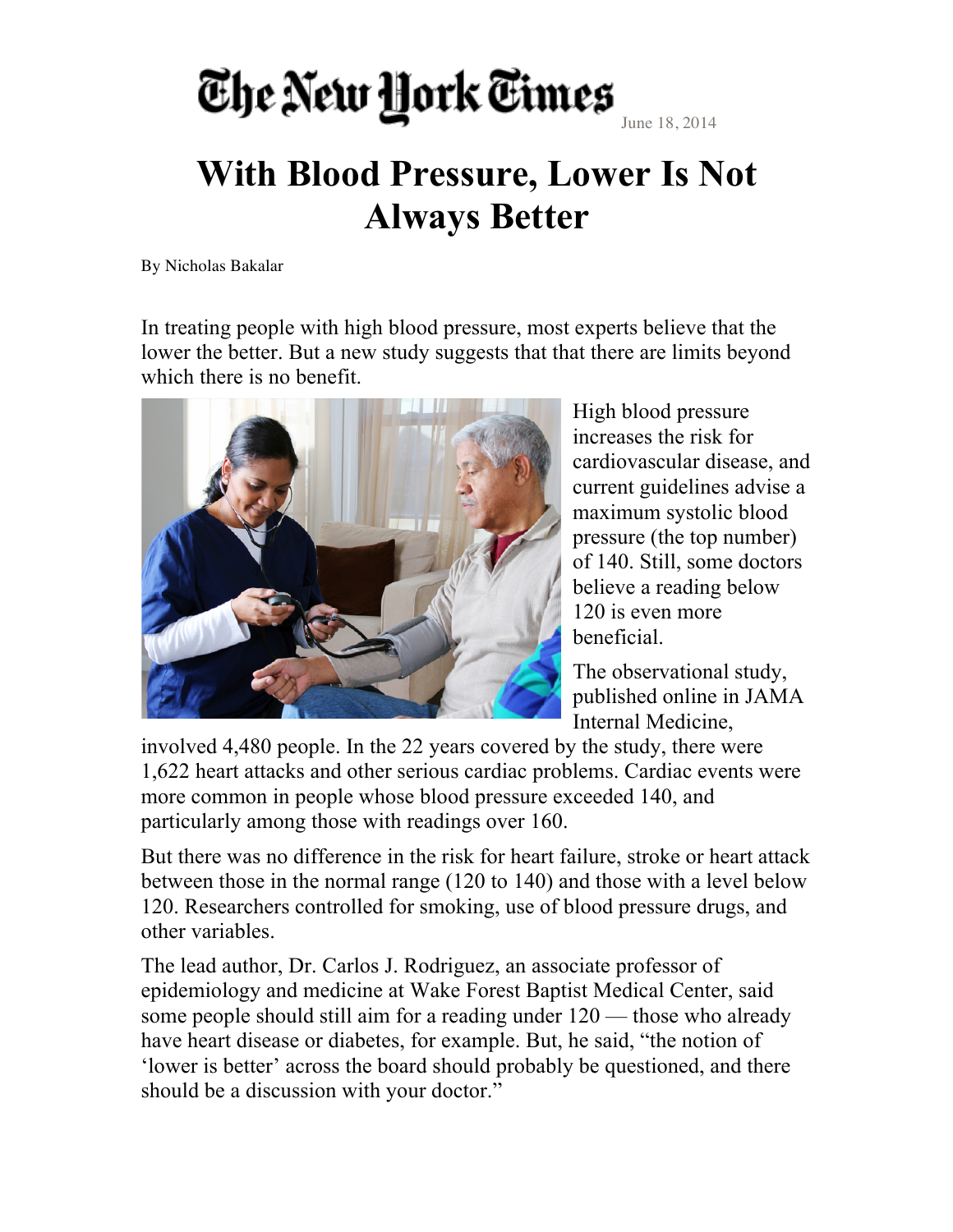## The New York Times

June 18, 2014

## **With Blood Pressure, Lower Is Not Always Better**

By Nicholas Bakalar

In treating people with high blood pressure, most experts believe that the lower the better. But a new study suggests that that there are limits beyond which there is no benefit.



High blood pressure increases the risk for cardiovascular disease, and current guidelines advise a maximum systolic blood pressure (the top number) of 140. Still, some doctors believe a reading below 120 is even more beneficial.

The observational study, published online in JAMA Internal Medicine,

involved 4,480 people. In the 22 years covered by the study, there were 1,622 heart attacks and other serious cardiac problems. Cardiac events were more common in people whose blood pressure exceeded 140, and particularly among those with readings over 160.

But there was no difference in the risk for heart failure, stroke or heart attack between those in the normal range (120 to 140) and those with a level below 120. Researchers controlled for smoking, use of blood pressure drugs, and other variables.

The lead author, Dr. Carlos J. Rodriguez, an associate professor of epidemiology and medicine at Wake Forest Baptist Medical Center, said some people should still aim for a reading under 120 — those who already have heart disease or diabetes, for example. But, he said, "the notion of 'lower is better' across the board should probably be questioned, and there should be a discussion with your doctor."